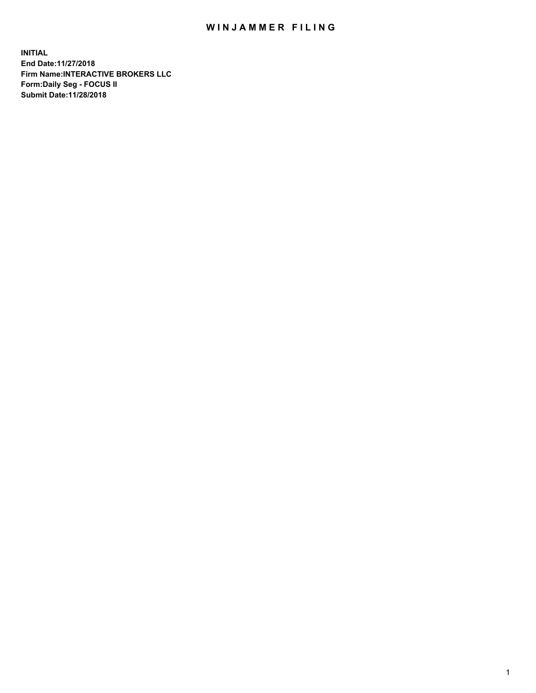## WIN JAMMER FILING

**INITIAL End Date:11/27/2018 Firm Name:INTERACTIVE BROKERS LLC Form:Daily Seg - FOCUS II Submit Date:11/28/2018**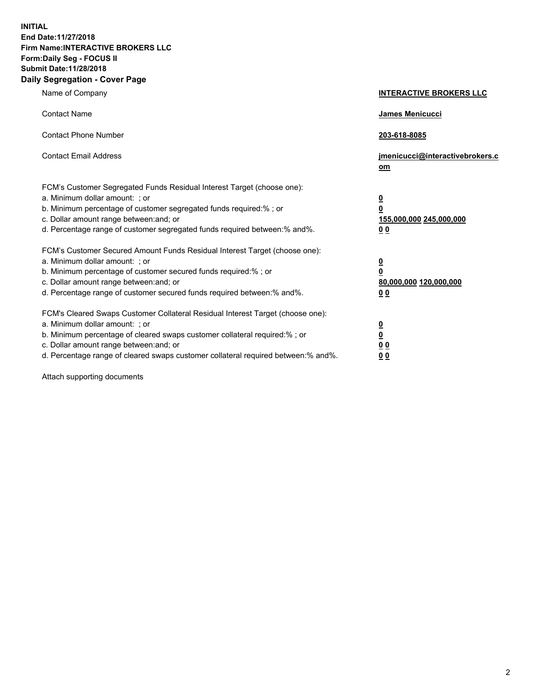**INITIAL End Date:11/27/2018 Firm Name:INTERACTIVE BROKERS LLC Form:Daily Seg - FOCUS II Submit Date:11/28/2018 Daily Segregation - Cover Page**

| Name of Company                                                                                                                                                                                                                                                                                                                | <b>INTERACTIVE BROKERS LLC</b>                                                                 |
|--------------------------------------------------------------------------------------------------------------------------------------------------------------------------------------------------------------------------------------------------------------------------------------------------------------------------------|------------------------------------------------------------------------------------------------|
| <b>Contact Name</b>                                                                                                                                                                                                                                                                                                            | James Menicucci                                                                                |
| <b>Contact Phone Number</b>                                                                                                                                                                                                                                                                                                    | 203-618-8085                                                                                   |
| <b>Contact Email Address</b>                                                                                                                                                                                                                                                                                                   | jmenicucci@interactivebrokers.c<br>om                                                          |
| FCM's Customer Segregated Funds Residual Interest Target (choose one):<br>a. Minimum dollar amount: : or<br>b. Minimum percentage of customer segregated funds required:% ; or<br>c. Dollar amount range between: and; or<br>d. Percentage range of customer segregated funds required between:% and%.                         | $\overline{\mathbf{0}}$<br>$\overline{\mathbf{0}}$<br>155,000,000 245,000,000<br>00            |
| FCM's Customer Secured Amount Funds Residual Interest Target (choose one):<br>a. Minimum dollar amount: ; or<br>b. Minimum percentage of customer secured funds required:%; or<br>c. Dollar amount range between: and; or<br>d. Percentage range of customer secured funds required between:% and%.                            | $\overline{\mathbf{0}}$<br>$\overline{\mathbf{0}}$<br>80,000,000 120,000,000<br>0 <sub>0</sub> |
| FCM's Cleared Swaps Customer Collateral Residual Interest Target (choose one):<br>a. Minimum dollar amount: ; or<br>b. Minimum percentage of cleared swaps customer collateral required:% ; or<br>c. Dollar amount range between: and; or<br>d. Percentage range of cleared swaps customer collateral required between:% and%. | $\frac{0}{0}$<br>0 <sub>0</sub><br>0 <sub>0</sub>                                              |

Attach supporting documents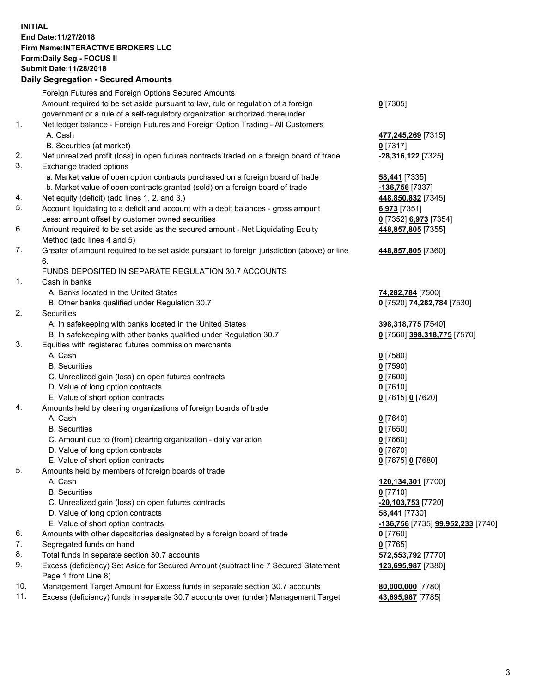## **INITIAL End Date:11/27/2018 Firm Name:INTERACTIVE BROKERS LLC Form:Daily Seg - FOCUS II Submit Date:11/28/2018 Daily Segregation - Secured Amounts**

|     | Daily Segregation - Secured Amounts                                                                  |                                   |
|-----|------------------------------------------------------------------------------------------------------|-----------------------------------|
|     | Foreign Futures and Foreign Options Secured Amounts                                                  |                                   |
|     | Amount required to be set aside pursuant to law, rule or regulation of a foreign                     | $0$ [7305]                        |
|     | government or a rule of a self-regulatory organization authorized thereunder                         |                                   |
| 1.  | Net ledger balance - Foreign Futures and Foreign Option Trading - All Customers                      |                                   |
|     | A. Cash                                                                                              | 477,245,269 [7315]                |
|     | B. Securities (at market)                                                                            | $0$ [7317]                        |
| 2.  | Net unrealized profit (loss) in open futures contracts traded on a foreign board of trade            | -28,316,122 [7325]                |
| 3.  | Exchange traded options                                                                              |                                   |
|     | a. Market value of open option contracts purchased on a foreign board of trade                       | <b>58,441</b> [7335]              |
|     | b. Market value of open contracts granted (sold) on a foreign board of trade                         | $-136,756$ [7337]                 |
| 4.  | Net equity (deficit) (add lines 1. 2. and 3.)                                                        | 448,850,832 [7345]                |
| 5.  | Account liquidating to a deficit and account with a debit balances - gross amount                    | 6,973 [7351]                      |
|     | Less: amount offset by customer owned securities                                                     | 0 [7352] 6,973 [7354]             |
| 6.  | Amount required to be set aside as the secured amount - Net Liquidating Equity                       | 448,857,805 [7355]                |
|     | Method (add lines 4 and 5)                                                                           |                                   |
| 7.  | Greater of amount required to be set aside pursuant to foreign jurisdiction (above) or line          | 448,857,805 [7360]                |
|     | 6.                                                                                                   |                                   |
|     | FUNDS DEPOSITED IN SEPARATE REGULATION 30.7 ACCOUNTS                                                 |                                   |
| 1.  | Cash in banks                                                                                        |                                   |
|     | A. Banks located in the United States                                                                | 74,282,784 [7500]                 |
|     | B. Other banks qualified under Regulation 30.7                                                       | 0 [7520] 74,282,784 [7530]        |
| 2.  | <b>Securities</b>                                                                                    |                                   |
|     | A. In safekeeping with banks located in the United States                                            | 398,318,775 [7540]                |
|     | B. In safekeeping with other banks qualified under Regulation 30.7                                   | 0 [7560] 398,318,775 [7570]       |
| 3.  | Equities with registered futures commission merchants                                                |                                   |
|     | A. Cash                                                                                              | $0$ [7580]                        |
|     | <b>B.</b> Securities                                                                                 | $0$ [7590]                        |
|     | C. Unrealized gain (loss) on open futures contracts                                                  | $0$ [7600]                        |
|     | D. Value of long option contracts                                                                    | $0$ [7610]                        |
|     | E. Value of short option contracts                                                                   | 0 [7615] 0 [7620]                 |
| 4.  | Amounts held by clearing organizations of foreign boards of trade                                    |                                   |
|     | A. Cash<br><b>B.</b> Securities                                                                      | $0$ [7640]                        |
|     |                                                                                                      | $0$ [7650]                        |
|     | C. Amount due to (from) clearing organization - daily variation<br>D. Value of long option contracts | $0$ [7660]<br>$0$ [7670]          |
|     | E. Value of short option contracts                                                                   |                                   |
| 5.  |                                                                                                      | 0 [7675] 0 [7680]                 |
|     | Amounts held by members of foreign boards of trade<br>A. Cash                                        | 120,134,301 [7700]                |
|     | <b>B.</b> Securities                                                                                 | $0$ [7710]                        |
|     | C. Unrealized gain (loss) on open futures contracts                                                  | -20,103,753 [7720]                |
|     | D. Value of long option contracts                                                                    | 58,441 [7730]                     |
|     | E. Value of short option contracts                                                                   | -136,756 [7735] 99,952,233 [7740] |
| 6.  | Amounts with other depositories designated by a foreign board of trade                               | $0$ [7760]                        |
| 7.  | Segregated funds on hand                                                                             | $0$ [7765]                        |
| 8.  | Total funds in separate section 30.7 accounts                                                        | 572,553,792 [7770]                |
| 9.  | Excess (deficiency) Set Aside for Secured Amount (subtract line 7 Secured Statement                  | 123,695,987 [7380]                |
|     | Page 1 from Line 8)                                                                                  |                                   |
| 10. | Management Target Amount for Excess funds in separate section 30.7 accounts                          | 80,000,000 [7780]                 |
| 11. | Excess (deficiency) funds in separate 30.7 accounts over (under) Management Target                   | 43,695,987 [7785]                 |
|     |                                                                                                      |                                   |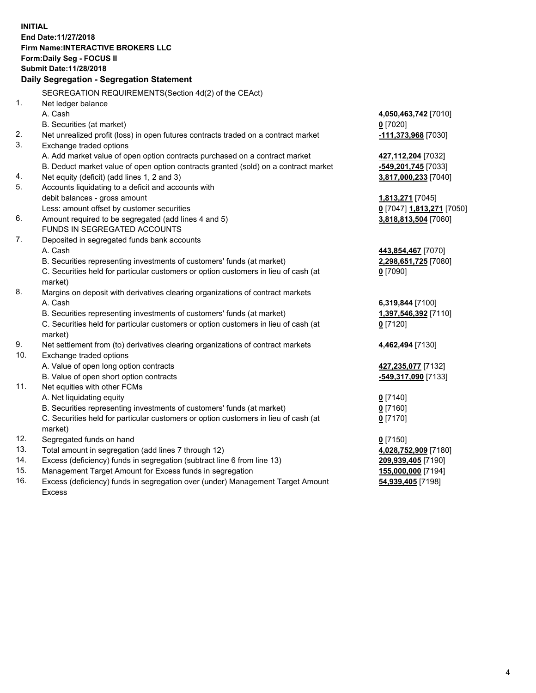**INITIAL End Date:11/27/2018 Firm Name:INTERACTIVE BROKERS LLC Form:Daily Seg - FOCUS II Submit Date:11/28/2018 Daily Segregation - Segregation Statement** SEGREGATION REQUIREMENTS(Section 4d(2) of the CEAct) 1. Net ledger balance A. Cash **4,050,463,742** [7010] B. Securities (at market) **0** [7020] 2. Net unrealized profit (loss) in open futures contracts traded on a contract market **-111,373,968** [7030] 3. Exchange traded options A. Add market value of open option contracts purchased on a contract market **427,112,204** [7032] B. Deduct market value of open option contracts granted (sold) on a contract market **-549,201,745** [7033] 4. Net equity (deficit) (add lines 1, 2 and 3) **3,817,000,233** [7040] 5. Accounts liquidating to a deficit and accounts with debit balances - gross amount **1,813,271** [7045] Less: amount offset by customer securities **0** [7047] **1,813,271** [7050] 6. Amount required to be segregated (add lines 4 and 5) **3,818,813,504** [7060] FUNDS IN SEGREGATED ACCOUNTS 7. Deposited in segregated funds bank accounts A. Cash **443,854,467** [7070] B. Securities representing investments of customers' funds (at market) **2,298,651,725** [7080] C. Securities held for particular customers or option customers in lieu of cash (at market) **0** [7090] 8. Margins on deposit with derivatives clearing organizations of contract markets A. Cash **6,319,844** [7100] B. Securities representing investments of customers' funds (at market) **1,397,546,392** [7110] C. Securities held for particular customers or option customers in lieu of cash (at market) **0** [7120] 9. Net settlement from (to) derivatives clearing organizations of contract markets **4,462,494** [7130] 10. Exchange traded options A. Value of open long option contracts **427,235,077** [7132] B. Value of open short option contracts **-549,317,090** [7133] 11. Net equities with other FCMs A. Net liquidating equity **0** [7140] B. Securities representing investments of customers' funds (at market) **0** [7160] C. Securities held for particular customers or option customers in lieu of cash (at market) **0** [7170] 12. Segregated funds on hand **0** [7150] 13. Total amount in segregation (add lines 7 through 12) **4,028,752,909** [7180] 14. Excess (deficiency) funds in segregation (subtract line 6 from line 13) **209,939,405** [7190] 15. Management Target Amount for Excess funds in segregation **155,000,000** [7194]

16. Excess (deficiency) funds in segregation over (under) Management Target Amount Excess

**54,939,405** [7198]